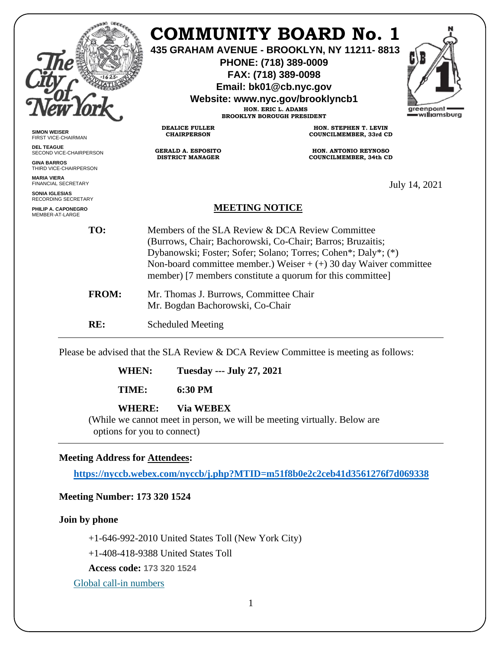|                                                     |                                                                                                                                                                                                                                                                                                                      | <b>COMMUNITY BOARD No. 1</b><br>435 GRAHAM AVENUE - BROOKLYN, NY 11211-8813<br>PHONE: (718) 389-0009<br>FAX: (718) 389-0098<br>Email: bk01@cb.nyc.gov<br>Website: www.nyc.gov/brooklyncb1<br>HON. ERIC L. ADAMS<br><b>BROOKLYN BOROUGH PRESIDENT</b> | greenpoint<br>=w <b>ıllı</b> amsburg |
|-----------------------------------------------------|----------------------------------------------------------------------------------------------------------------------------------------------------------------------------------------------------------------------------------------------------------------------------------------------------------------------|------------------------------------------------------------------------------------------------------------------------------------------------------------------------------------------------------------------------------------------------------|--------------------------------------|
| <b>SIMON WEISER</b><br>FIRST VICE-CHAIRMAN          | <b>DEALICE FULLER</b><br><b>CHAIRPERSON</b>                                                                                                                                                                                                                                                                          | HON. STEPHEN T. LEVIN<br>COUNCILMEMBER, 33rd CD                                                                                                                                                                                                      |                                      |
| <b>DEL TEAGUE</b><br>SECOND VICE-CHAIRPERSON        | <b>GERALD A. ESPOSITO</b><br><b>DISTRICT MANAGER</b>                                                                                                                                                                                                                                                                 | <b>HON. ANTONIO REYNOSO</b><br><b>COUNCILMEMBER, 34th CD</b>                                                                                                                                                                                         |                                      |
| <b>GINA BARROS</b><br>THIRD VICE-CHAIRPERSON        |                                                                                                                                                                                                                                                                                                                      |                                                                                                                                                                                                                                                      |                                      |
| <b>MARIA VIERA</b><br><b>FINANCIAL SECRETARY</b>    | July 14, 2021                                                                                                                                                                                                                                                                                                        |                                                                                                                                                                                                                                                      |                                      |
| <b>SONIA IGLESIAS</b><br><b>RECORDING SECRETARY</b> |                                                                                                                                                                                                                                                                                                                      |                                                                                                                                                                                                                                                      |                                      |
| PHILIP A. CAPONEGRO<br>MEMBER-AT-LARGE              | <b>MEETING NOTICE</b>                                                                                                                                                                                                                                                                                                |                                                                                                                                                                                                                                                      |                                      |
| TO:                                                 | Members of the SLA Review & DCA Review Committee<br>(Burrows, Chair; Bachorowski, Co-Chair; Barros; Bruzaitis;<br>Dybanowski; Foster; Sofer; Solano; Torres; Cohen*; Daly*; (*)<br>Non-board committee member.) Weiser $+ (+)$ 30 day Waiver committee<br>member) [7 members constitute a quorum for this committee] |                                                                                                                                                                                                                                                      |                                      |
| <b>FROM:</b>                                        | Mr. Thomas J. Burrows, Committee Chair<br>Mr. Bogdan Bachorowski, Co-Chair                                                                                                                                                                                                                                           |                                                                                                                                                                                                                                                      |                                      |
| RE:                                                 | <b>Scheduled Meeting</b>                                                                                                                                                                                                                                                                                             |                                                                                                                                                                                                                                                      |                                      |

Please be advised that the SLA Review & DCA Review Committee is meeting as follows:

**WHEN: Tuesday --- July 27, 2021**

**TIME: 6:30 PM**

# **WHERE: Via WEBEX**

(While we cannot meet in person, we will be meeting virtually. Below are options for you to connect)

## **Meeting Address for Attendees:**

**<https://nyccb.webex.com/nyccb/j.php?MTID=m51f8b0e2c2ceb41d3561276f7d069338>**

# **Meeting Number: 173 320 1524**

**Join by phone**

+1-646-992-2010 United States Toll (New York City)

+1-408-418-9388 United States Toll

**Access code: 173 320 1524**

[Global call-in numbers](javascript:void(0);)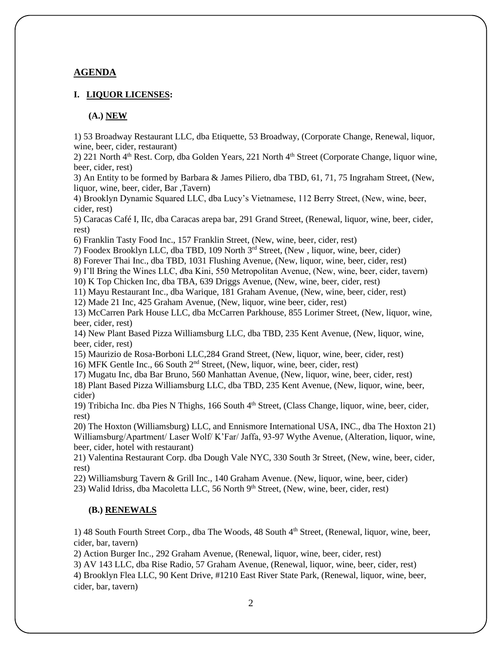### **AGENDA**

### **I. LIQUOR LICENSES:**

#### **(A.) NEW**

1) 53 Broadway Restaurant LLC, dba Etiquette, 53 Broadway, (Corporate Change, Renewal, liquor, wine, beer, cider, restaurant)

2) 221 North 4th Rest. Corp, dba Golden Years, 221 North 4th Street (Corporate Change, liquor wine, beer, cider, rest)

3) An Entity to be formed by Barbara & James Piliero, dba TBD, 61, 71, 75 Ingraham Street, (New, liquor, wine, beer, cider, Bar ,Tavern)

4) Brooklyn Dynamic Squared LLC, dba Lucy's Vietnamese, 112 Berry Street, (New, wine, beer, cider, rest)

5) Caracas Café I, IIc, dba Caracas arepa bar, 291 Grand Street, (Renewal, liquor, wine, beer, cider, rest)

6) Franklin Tasty Food Inc., 157 Franklin Street, (New, wine, beer, cider, rest)

7) Foodex Brooklyn LLC, dba TBD, 109 North 3rd Street, (New , liquor, wine, beer, cider)

8) Forever Thai Inc., dba TBD, 1031 Flushing Avenue, (New, liquor, wine, beer, cider, rest)

9) I'll Bring the Wines LLC, dba Kini, 550 Metropolitan Avenue, (New, wine, beer, cider, tavern)

10) K Top Chicken Inc, dba TBA, 639 Driggs Avenue, (New, wine, beer, cider, rest)

11) Mayu Restaurant Inc., dba Warique, 181 Graham Avenue, (New, wine, beer, cider, rest)

12) Made 21 Inc, 425 Graham Avenue, (New, liquor, wine beer, cider, rest)

13) McCarren Park House LLC, dba McCarren Parkhouse, 855 Lorimer Street, (New, liquor, wine, beer, cider, rest)

14) New Plant Based Pizza Williamsburg LLC, dba TBD, 235 Kent Avenue, (New, liquor, wine, beer, cider, rest)

15) Maurizio de Rosa-Borboni LLC,284 Grand Street, (New, liquor, wine, beer, cider, rest)

16) MFK Gentle Inc., 66 South 2nd Street, (New, liquor, wine, beer, cider, rest)

17) Mugatu Inc, dba Bar Bruno, 560 Manhattan Avenue, (New, liquor, wine, beer, cider, rest)

18) Plant Based Pizza Williamsburg LLC, dba TBD, 235 Kent Avenue, (New, liquor, wine, beer, cider)

19) Tribicha Inc. dba Pies N Thighs, 166 South 4th Street, (Class Change, liquor, wine, beer, cider, rest)

20) The Hoxton (Williamsburg) LLC, and Ennismore International USA, INC., dba The Hoxton 21) Williamsburg/Apartment/ Laser Wolf/ K'Far/ Jaffa, 93-97 Wythe Avenue, (Alteration, liquor, wine, beer, cider, hotel with restaurant)

21) Valentina Restaurant Corp. dba Dough Vale NYC, 330 South 3r Street, (New, wine, beer, cider, rest)

22) Williamsburg Tavern & Grill Inc., 140 Graham Avenue. (New, liquor, wine, beer, cider)

23) Walid Idriss, dba Macoletta LLC, 56 North  $9<sup>th</sup>$  Street, (New, wine, beer, cider, rest)

#### **(B.) RENEWALS**

1) 48 South Fourth Street Corp., dba The Woods, 48 South 4<sup>th</sup> Street, (Renewal, liquor, wine, beer, cider, bar, tavern)

2) Action Burger Inc., 292 Graham Avenue, (Renewal, liquor, wine, beer, cider, rest)

3) AV 143 LLC, dba Rise Radio, 57 Graham Avenue, (Renewal, liquor, wine, beer, cider, rest)

4) Brooklyn Flea LLC, 90 Kent Drive, #1210 East River State Park, (Renewal, liquor, wine, beer, cider, bar, tavern)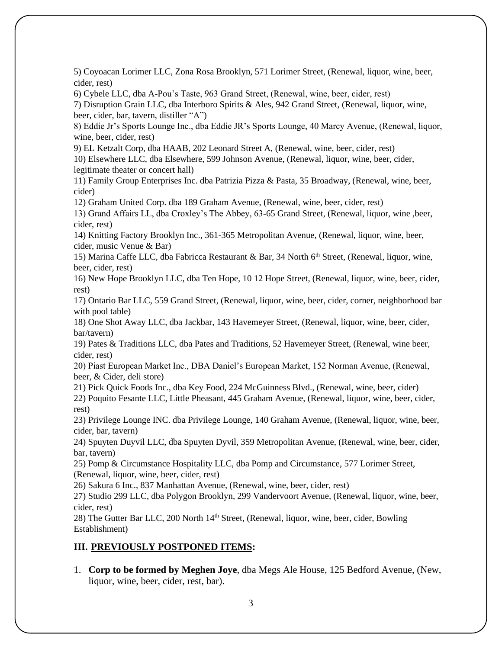5) Coyoacan Lorimer LLC, Zona Rosa Brooklyn, 571 Lorimer Street, (Renewal, liquor, wine, beer, cider, rest)

6) Cybele LLC, dba A-Pou's Taste, 963 Grand Street, (Renewal, wine, beer, cider, rest)

7) Disruption Grain LLC, dba Interboro Spirits & Ales, 942 Grand Street, (Renewal, liquor, wine, beer, cider, bar, tavern, distiller "A")

8) Eddie Jr's Sports Lounge Inc., dba Eddie JR's Sports Lounge, 40 Marcy Avenue, (Renewal, liquor, wine, beer, cider, rest)

9) EL Ketzalt Corp, dba HAAB, 202 Leonard Street A, (Renewal, wine, beer, cider, rest)

10) Elsewhere LLC, dba Elsewhere, 599 Johnson Avenue, (Renewal, liquor, wine, beer, cider, legitimate theater or concert hall)

11) Family Group Enterprises Inc. dba Patrizia Pizza & Pasta, 35 Broadway, (Renewal, wine, beer, cider)

12) Graham United Corp. dba 189 Graham Avenue, (Renewal, wine, beer, cider, rest)

13) Grand Affairs LL, dba Croxley's The Abbey, 63-65 Grand Street, (Renewal, liquor, wine ,beer, cider, rest)

14) Knitting Factory Brooklyn Inc., 361-365 Metropolitan Avenue, (Renewal, liquor, wine, beer, cider, music Venue & Bar)

15) Marina Caffe LLC, dba Fabricca Restaurant & Bar, 34 North 6<sup>th</sup> Street, (Renewal, liquor, wine, beer, cider, rest)

16) New Hope Brooklyn LLC, dba Ten Hope, 10 12 Hope Street, (Renewal, liquor, wine, beer, cider, rest)

17) Ontario Bar LLC, 559 Grand Street, (Renewal, liquor, wine, beer, cider, corner, neighborhood bar with pool table)

18) One Shot Away LLC, dba Jackbar, 143 Havemeyer Street, (Renewal, liquor, wine, beer, cider, bar/tavern)

19) Pates & Traditions LLC, dba Pates and Traditions, 52 Havemeyer Street, (Renewal, wine beer, cider, rest)

20) Piast European Market Inc., DBA Daniel's European Market, 152 Norman Avenue, (Renewal, beer, & Cider, deli store)

21) Pick Quick Foods Inc., dba Key Food, 224 McGuinness Blvd., (Renewal, wine, beer, cider)

22) Poquito Fesante LLC, Little Pheasant, 445 Graham Avenue, (Renewal, liquor, wine, beer, cider, rest)

23) Privilege Lounge INC. dba Privilege Lounge, 140 Graham Avenue, (Renewal, liquor, wine, beer, cider, bar, tavern)

24) Spuyten Duyvil LLC, dba Spuyten Dyvil, 359 Metropolitan Avenue, (Renewal, wine, beer, cider, bar, tavern)

25) Pomp & Circumstance Hospitality LLC, dba Pomp and Circumstance, 577 Lorimer Street, (Renewal, liquor, wine, beer, cider, rest)

26) Sakura 6 Inc., 837 Manhattan Avenue, (Renewal, wine, beer, cider, rest)

27) Studio 299 LLC, dba Polygon Brooklyn, 299 Vandervoort Avenue, (Renewal, liquor, wine, beer, cider, rest)

28) The Gutter Bar LLC, 200 North 14<sup>th</sup> Street, (Renewal, liquor, wine, beer, cider, Bowling Establishment)

## **III. PREVIOUSLY POSTPONED ITEMS:**

1. **Corp to be formed by Meghen Joye**, dba Megs Ale House, 125 Bedford Avenue, (New, liquor, wine, beer, cider, rest, bar).